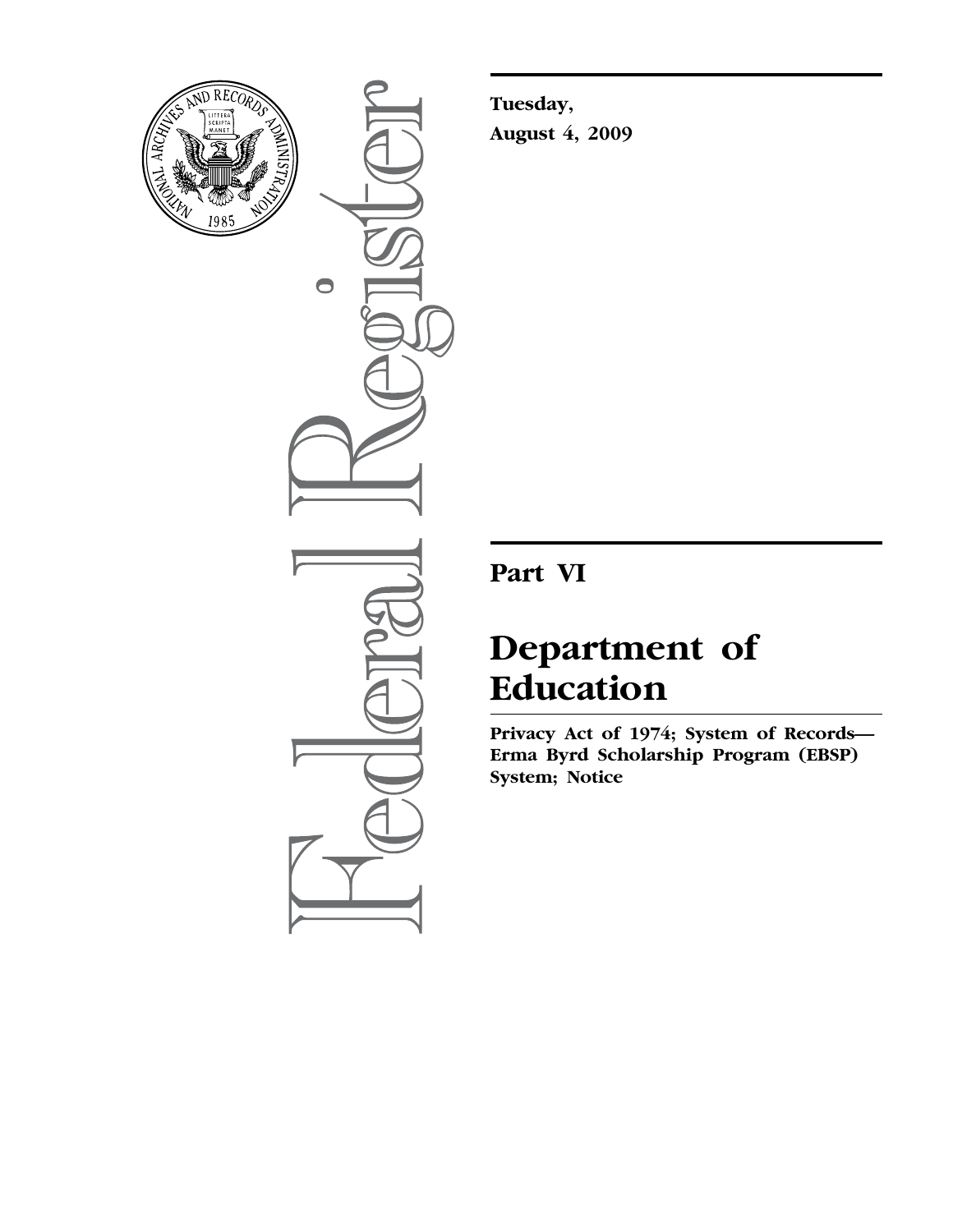

 $\bullet$ 

**Tuesday, August 4, 2009** 

# **Part VI**

# **Department of Education**

**Privacy Act of 1974; System of Records— Erma Byrd Scholarship Program (EBSP) System; Notice**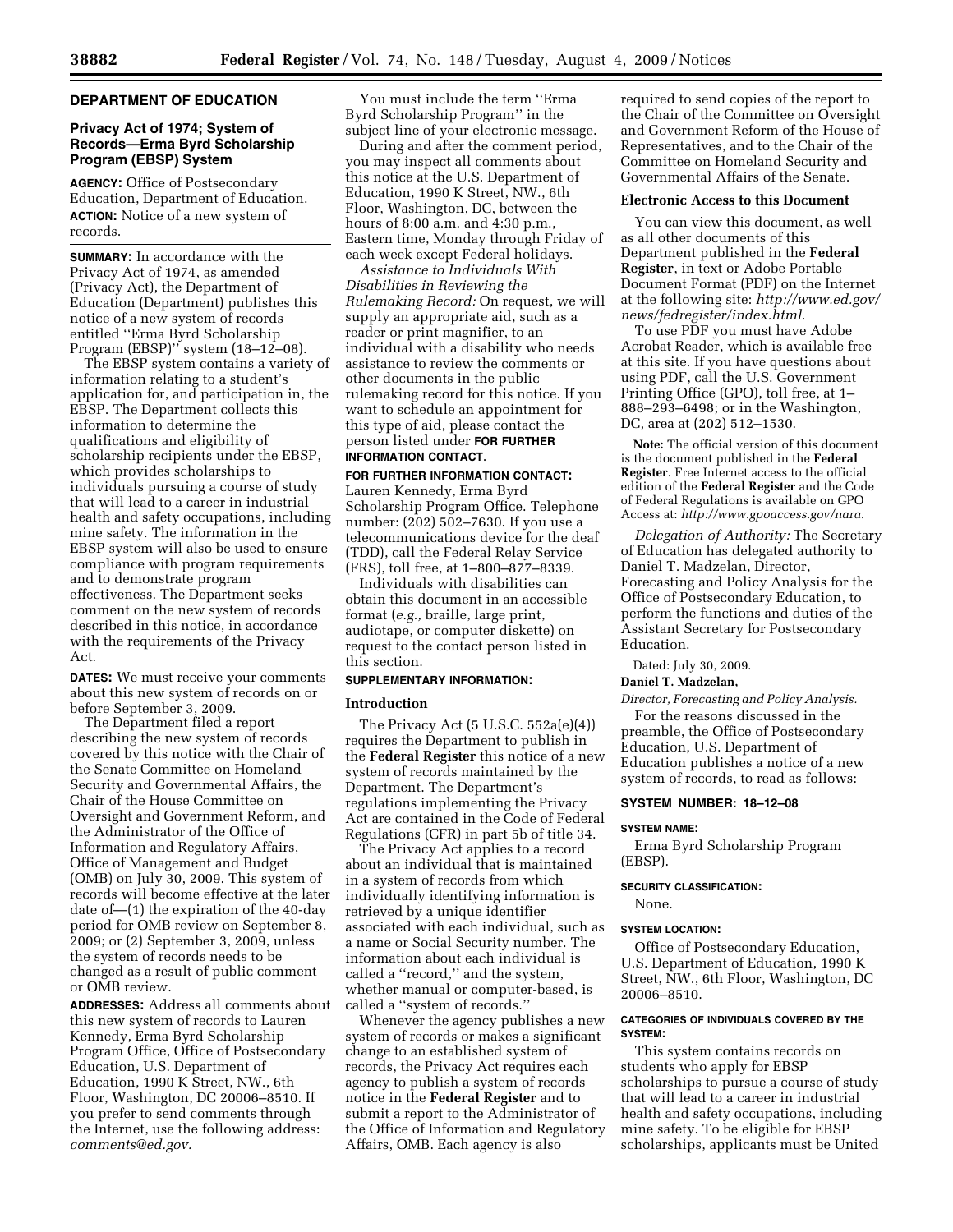# **DEPARTMENT OF EDUCATION**

# **Privacy Act of 1974; System of Records—Erma Byrd Scholarship Program (EBSP) System**

**AGENCY:** Office of Postsecondary Education, Department of Education. **ACTION:** Notice of a new system of records.

**SUMMARY:** In accordance with the Privacy Act of 1974, as amended (Privacy Act), the Department of Education (Department) publishes this notice of a new system of records entitled ''Erma Byrd Scholarship Program (EBSP)" system (18–12–08).

The EBSP system contains a variety of information relating to a student's application for, and participation in, the EBSP. The Department collects this information to determine the qualifications and eligibility of scholarship recipients under the EBSP, which provides scholarships to individuals pursuing a course of study that will lead to a career in industrial health and safety occupations, including mine safety. The information in the EBSP system will also be used to ensure compliance with program requirements and to demonstrate program effectiveness. The Department seeks comment on the new system of records described in this notice, in accordance with the requirements of the Privacy Act.

**DATES:** We must receive your comments about this new system of records on or before September 3, 2009.

The Department filed a report describing the new system of records covered by this notice with the Chair of the Senate Committee on Homeland Security and Governmental Affairs, the Chair of the House Committee on Oversight and Government Reform, and the Administrator of the Office of Information and Regulatory Affairs, Office of Management and Budget (OMB) on July 30, 2009. This system of records will become effective at the later date of—(1) the expiration of the 40-day period for OMB review on September 8, 2009; or (2) September 3, 2009, unless the system of records needs to be changed as a result of public comment or OMB review.

**ADDRESSES:** Address all comments about this new system of records to Lauren Kennedy, Erma Byrd Scholarship Program Office, Office of Postsecondary Education, U.S. Department of Education, 1990 K Street, NW., 6th Floor, Washington, DC 20006–8510. If you prefer to send comments through the Internet, use the following address: *comments@ed.gov.* 

You must include the term ''Erma Byrd Scholarship Program'' in the subject line of your electronic message.

During and after the comment period, you may inspect all comments about this notice at the U.S. Department of Education, 1990 K Street, NW., 6th Floor, Washington, DC, between the hours of 8:00 a.m. and 4:30 p.m., Eastern time, Monday through Friday of each week except Federal holidays.

*Assistance to Individuals With Disabilities in Reviewing the Rulemaking Record:* On request, we will supply an appropriate aid, such as a reader or print magnifier, to an individual with a disability who needs assistance to review the comments or other documents in the public rulemaking record for this notice. If you want to schedule an appointment for this type of aid, please contact the person listed under **FOR FURTHER INFORMATION CONTACT**.

#### **FOR FURTHER INFORMATION CONTACT:**

Lauren Kennedy, Erma Byrd Scholarship Program Office. Telephone number: (202) 502–7630. If you use a telecommunications device for the deaf (TDD), call the Federal Relay Service (FRS), toll free, at 1–800–877–8339.

Individuals with disabilities can obtain this document in an accessible format (*e.g.,* braille, large print, audiotape, or computer diskette) on request to the contact person listed in this section.

# **SUPPLEMENTARY INFORMATION:**

## **Introduction**

The Privacy Act (5 U.S.C. 552a(e)(4)) requires the Department to publish in the **Federal Register** this notice of a new system of records maintained by the Department. The Department's regulations implementing the Privacy Act are contained in the Code of Federal Regulations (CFR) in part 5b of title 34.

The Privacy Act applies to a record about an individual that is maintained in a system of records from which individually identifying information is retrieved by a unique identifier associated with each individual, such as a name or Social Security number. The information about each individual is called a ''record,'' and the system, whether manual or computer-based, is called a ''system of records.''

Whenever the agency publishes a new system of records or makes a significant change to an established system of records, the Privacy Act requires each agency to publish a system of records notice in the **Federal Register** and to submit a report to the Administrator of the Office of Information and Regulatory Affairs, OMB. Each agency is also

required to send copies of the report to the Chair of the Committee on Oversight and Government Reform of the House of Representatives, and to the Chair of the Committee on Homeland Security and Governmental Affairs of the Senate.

# **Electronic Access to this Document**

You can view this document, as well as all other documents of this Department published in the **Federal Register**, in text or Adobe Portable Document Format (PDF) on the Internet at the following site: *http://www.ed.gov/ news/fedregister/index.html*.

To use PDF you must have Adobe Acrobat Reader, which is available free at this site. If you have questions about using PDF, call the U.S. Government Printing Office (GPO), toll free, at 1– 888–293–6498; or in the Washington, DC, area at (202) 512–1530.

**Note:** The official version of this document is the document published in the **Federal Register**. Free Internet access to the official edition of the **Federal Register** and the Code of Federal Regulations is available on GPO Access at: *http://www.gpoaccess.gov/nara.* 

*Delegation of Authority:* The Secretary of Education has delegated authority to Daniel T. Madzelan, Director, Forecasting and Policy Analysis for the Office of Postsecondary Education, to perform the functions and duties of the Assistant Secretary for Postsecondary Education.

Dated: July 30, 2009.

## **Daniel T. Madzelan,**

*Director, Forecasting and Policy Analysis.* 

For the reasons discussed in the preamble, the Office of Postsecondary Education, U.S. Department of Education publishes a notice of a new system of records, to read as follows:

# **SYSTEM NUMBER: 18–12–08**

### **SYSTEM NAME:**

Erma Byrd Scholarship Program (EBSP).

#### **SECURITY CLASSIFICATION:**

None.

#### **SYSTEM LOCATION:**

Office of Postsecondary Education, U.S. Department of Education, 1990 K Street, NW., 6th Floor, Washington, DC 20006–8510.

# **CATEGORIES OF INDIVIDUALS COVERED BY THE SYSTEM:**

This system contains records on students who apply for EBSP scholarships to pursue a course of study that will lead to a career in industrial health and safety occupations, including mine safety. To be eligible for EBSP scholarships, applicants must be United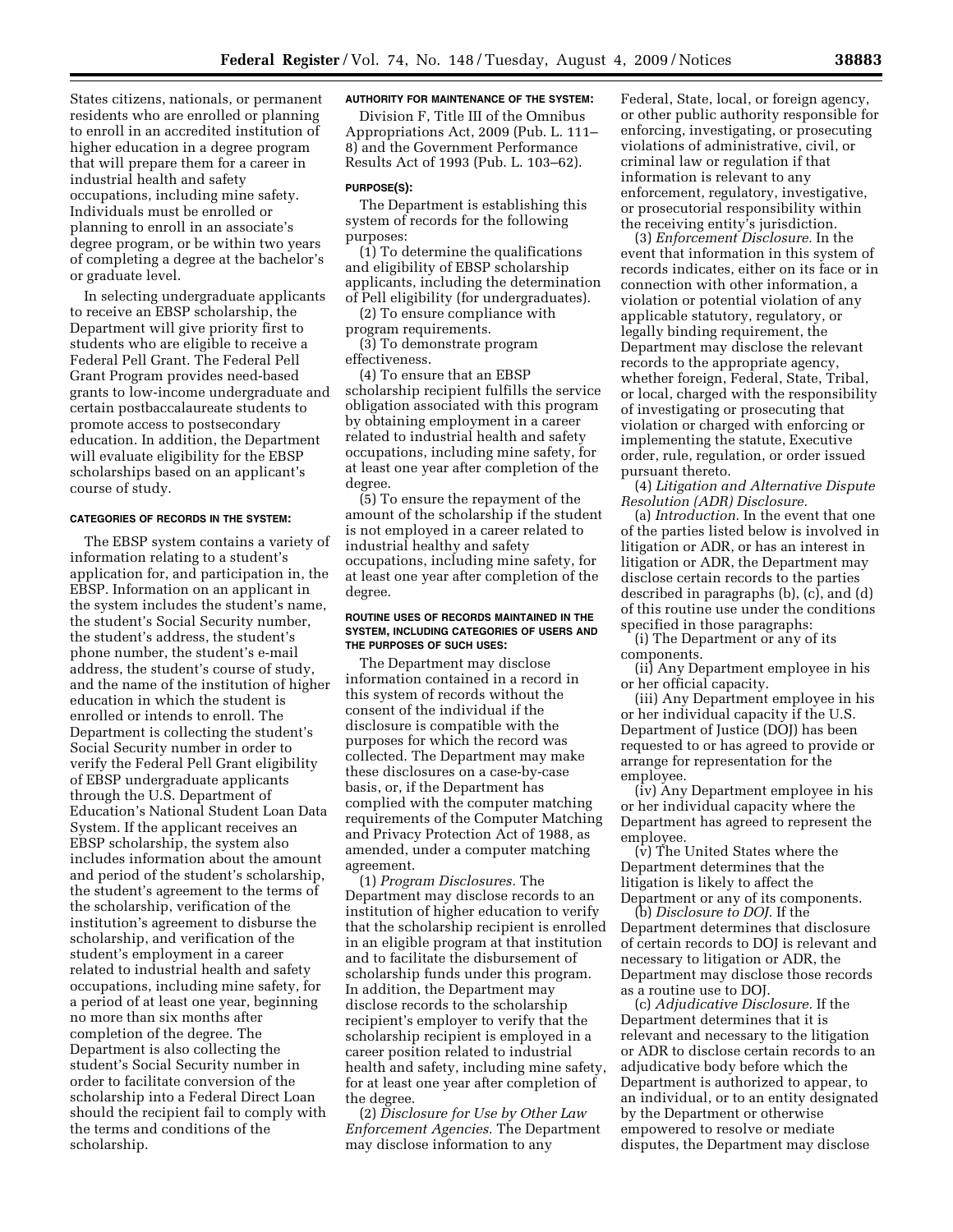States citizens, nationals, or permanent residents who are enrolled or planning to enroll in an accredited institution of higher education in a degree program that will prepare them for a career in industrial health and safety occupations, including mine safety. Individuals must be enrolled or planning to enroll in an associate's degree program, or be within two years of completing a degree at the bachelor's or graduate level.

In selecting undergraduate applicants to receive an EBSP scholarship, the Department will give priority first to students who are eligible to receive a Federal Pell Grant. The Federal Pell Grant Program provides need-based grants to low-income undergraduate and certain postbaccalaureate students to promote access to postsecondary education. In addition, the Department will evaluate eligibility for the EBSP scholarships based on an applicant's course of study.

# **CATEGORIES OF RECORDS IN THE SYSTEM:**

The EBSP system contains a variety of information relating to a student's application for, and participation in, the EBSP. Information on an applicant in the system includes the student's name, the student's Social Security number, the student's address, the student's phone number, the student's e-mail address, the student's course of study, and the name of the institution of higher education in which the student is enrolled or intends to enroll. The Department is collecting the student's Social Security number in order to verify the Federal Pell Grant eligibility of EBSP undergraduate applicants through the U.S. Department of Education's National Student Loan Data System. If the applicant receives an EBSP scholarship, the system also includes information about the amount and period of the student's scholarship, the student's agreement to the terms of the scholarship, verification of the institution's agreement to disburse the scholarship, and verification of the student's employment in a career related to industrial health and safety occupations, including mine safety, for a period of at least one year, beginning no more than six months after completion of the degree. The Department is also collecting the student's Social Security number in order to facilitate conversion of the scholarship into a Federal Direct Loan should the recipient fail to comply with the terms and conditions of the scholarship.

# **AUTHORITY FOR MAINTENANCE OF THE SYSTEM:**

Division F, Title III of the Omnibus Appropriations Act, 2009 (Pub. L. 111– 8) and the Government Performance Results Act of 1993 (Pub. L. 103–62).

# **PURPOSE(S):**

The Department is establishing this system of records for the following purposes:

(1) To determine the qualifications and eligibility of EBSP scholarship applicants, including the determination of Pell eligibility (for undergraduates).

(2) To ensure compliance with program requirements.

(3) To demonstrate program effectiveness.

(4) To ensure that an EBSP scholarship recipient fulfills the service obligation associated with this program by obtaining employment in a career related to industrial health and safety occupations, including mine safety, for at least one year after completion of the degree.

(5) To ensure the repayment of the amount of the scholarship if the student is not employed in a career related to industrial healthy and safety occupations, including mine safety, for at least one year after completion of the degree.

## **ROUTINE USES OF RECORDS MAINTAINED IN THE SYSTEM, INCLUDING CATEGORIES OF USERS AND THE PURPOSES OF SUCH USES:**

The Department may disclose information contained in a record in this system of records without the consent of the individual if the disclosure is compatible with the purposes for which the record was collected. The Department may make these disclosures on a case-by-case basis, or, if the Department has complied with the computer matching requirements of the Computer Matching and Privacy Protection Act of 1988, as amended, under a computer matching agreement.

(1) *Program Disclosures.* The Department may disclose records to an institution of higher education to verify that the scholarship recipient is enrolled in an eligible program at that institution and to facilitate the disbursement of scholarship funds under this program. In addition, the Department may disclose records to the scholarship recipient's employer to verify that the scholarship recipient is employed in a career position related to industrial health and safety, including mine safety, for at least one year after completion of the degree.

(2) *Disclosure for Use by Other Law Enforcement Agencies.* The Department may disclose information to any

Federal, State, local, or foreign agency, or other public authority responsible for enforcing, investigating, or prosecuting violations of administrative, civil, or criminal law or regulation if that information is relevant to any enforcement, regulatory, investigative, or prosecutorial responsibility within the receiving entity's jurisdiction.

(3) *Enforcement Disclosure.* In the event that information in this system of records indicates, either on its face or in connection with other information, a violation or potential violation of any applicable statutory, regulatory, or legally binding requirement, the Department may disclose the relevant records to the appropriate agency, whether foreign, Federal, State, Tribal, or local, charged with the responsibility of investigating or prosecuting that violation or charged with enforcing or implementing the statute, Executive order, rule, regulation, or order issued pursuant thereto.

(4) *Litigation and Alternative Dispute Resolution (ADR) Disclosure.* 

(a) *Introduction.* In the event that one of the parties listed below is involved in litigation or ADR, or has an interest in litigation or ADR, the Department may disclose certain records to the parties described in paragraphs (b), (c), and (d) of this routine use under the conditions specified in those paragraphs:

(i) The Department or any of its components.

(ii) Any Department employee in his or her official capacity.

(iii) Any Department employee in his or her individual capacity if the U.S. Department of Justice (DOJ) has been requested to or has agreed to provide or arrange for representation for the employee.

(iv) Any Department employee in his or her individual capacity where the Department has agreed to represent the employee.

(v) The United States where the Department determines that the litigation is likely to affect the Department or any of its components.

(b) *Disclosure to DOJ.* If the Department determines that disclosure of certain records to DOJ is relevant and necessary to litigation or ADR, the Department may disclose those records as a routine use to DOJ.

(c) *Adjudicative Disclosure.* If the Department determines that it is relevant and necessary to the litigation or ADR to disclose certain records to an adjudicative body before which the Department is authorized to appear, to an individual, or to an entity designated by the Department or otherwise empowered to resolve or mediate disputes, the Department may disclose